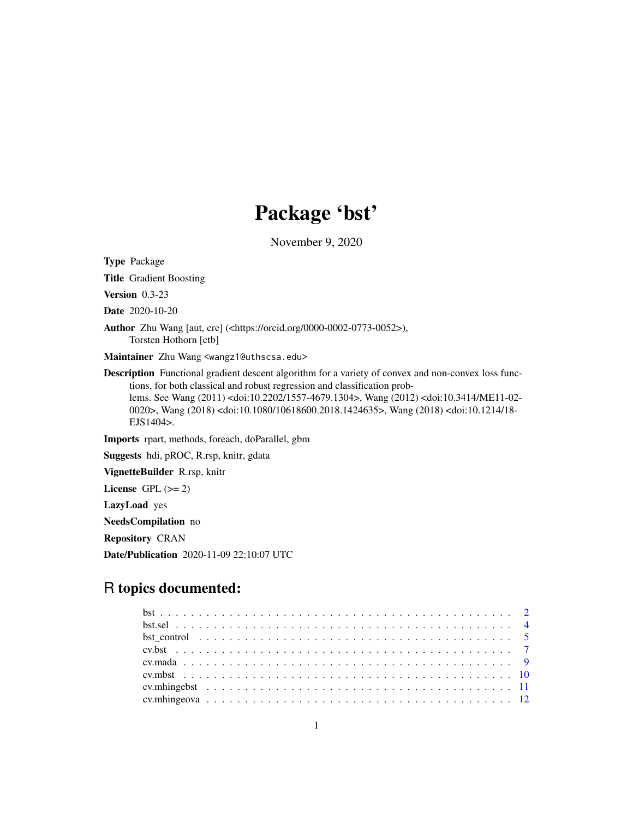# Package 'bst'

November 9, 2020

<span id="page-0-0"></span>Type Package

Title Gradient Boosting

Version 0.3-23

Date 2020-10-20

Author Zhu Wang [aut, cre] (<https://orcid.org/0000-0002-0773-0052>), Torsten Hothorn [ctb]

Maintainer Zhu Wang <wangz1@uthscsa.edu>

Description Functional gradient descent algorithm for a variety of convex and non-convex loss functions, for both classical and robust regression and classification problems. See Wang (2011) <doi:10.2202/1557-4679.1304>, Wang (2012) <doi:10.3414/ME11-02- 0020>, Wang (2018) <doi:10.1080/10618600.2018.1424635>, Wang (2018) <doi:10.1214/18- EJS1404>.

Imports rpart, methods, foreach, doParallel, gbm

Suggests hdi, pROC, R.rsp, knitr, gdata

VignetteBuilder R.rsp, knitr

License GPL  $(>= 2)$ 

LazyLoad yes

NeedsCompilation no

Repository CRAN

Date/Publication 2020-11-09 22:10:07 UTC

# R topics documented:

| bst control $\dots \dots \dots \dots \dots \dots \dots \dots \dots \dots \dots \dots \dots \dots \dots \dots$ |  |
|---------------------------------------------------------------------------------------------------------------|--|
|                                                                                                               |  |
|                                                                                                               |  |
|                                                                                                               |  |
|                                                                                                               |  |
|                                                                                                               |  |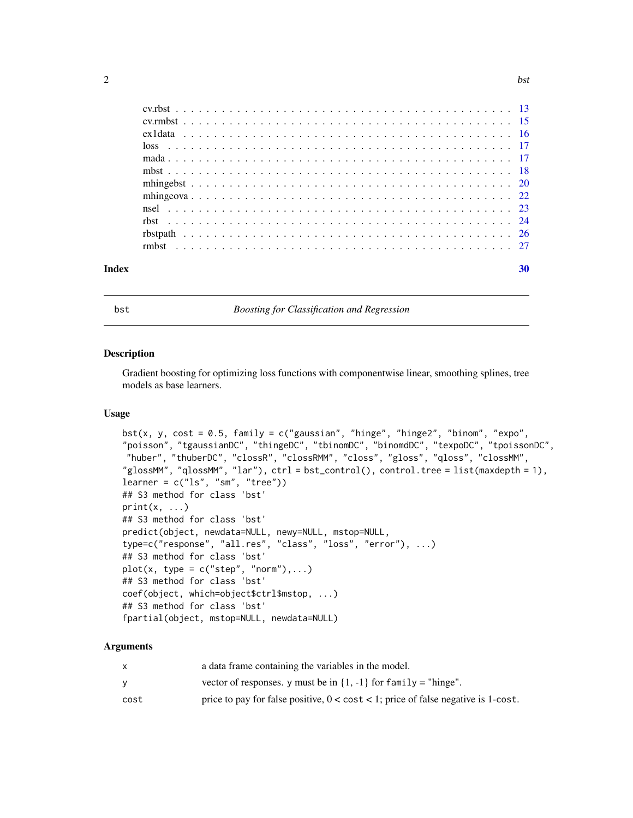<span id="page-1-0"></span>

| Index | 30 |
|-------|----|
|       |    |
|       |    |
|       |    |
|       |    |
|       |    |
|       |    |
|       |    |
|       |    |
|       |    |
|       |    |
|       |    |
|       |    |

<span id="page-1-1"></span>bst *Boosting for Classification and Regression*

#### Description

Gradient boosting for optimizing loss functions with componentwise linear, smoothing splines, tree models as base learners.

#### Usage

```
bst(x, y, cost = 0.5, family = c("gaussian", "hinge", "hinge2", "binom", "expo",""poisson", "tgaussianDC", "thingeDC", "tbinomDC", "binomdDC", "texpoDC", "tpoissonDC",
"huber", "thuberDC", "clossR", "clossRMM", "closs", "gloss", "qloss", "clossMM",
"glossMM", "qlossMM", "lar"), ctrl = bst_control(), control.tree = list(maxdepth = 1),
learner = c("ls", "sm", "tree")## S3 method for class 'bst'
print(x, \ldots)## S3 method for class 'bst'
predict(object, newdata=NULL, newy=NULL, mstop=NULL,
type=c("response", "all.res", "class", "loss", "error"), ...)
## S3 method for class 'bst'
plot(x, type = c("step", "norm"),...)## S3 method for class 'bst'
coef(object, which=object$ctrl$mstop, ...)
## S3 method for class 'bst'
fpartial(object, mstop=NULL, newdata=NULL)
```

|      | a data frame containing the variables in the model.                                         |
|------|---------------------------------------------------------------------------------------------|
| v    | vector of responses, y must be in $\{1, -1\}$ for family = "hinge".                         |
| cost | price to pay for false positive, $0 < \text{cost} < 1$ ; price of false negative is 1-cost. |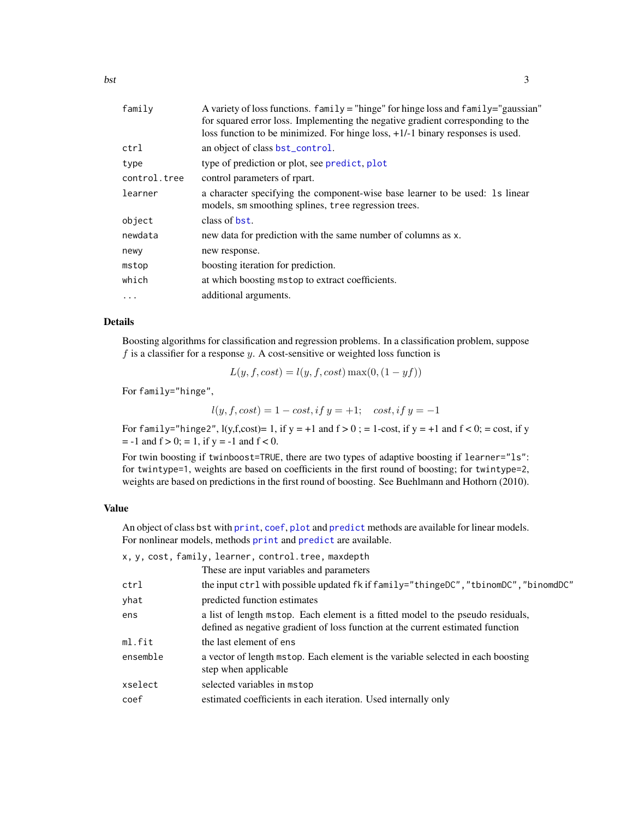<span id="page-2-0"></span>

| family       | A variety of loss functions. family = "hinge" for hinge loss and family="gaussian" |
|--------------|------------------------------------------------------------------------------------|
|              | for squared error loss. Implementing the negative gradient corresponding to the    |
|              | loss function to be minimized. For hinge loss, $+1/-1$ binary responses is used.   |
| ctrl         | an object of class bst_control.                                                    |
| type         | type of prediction or plot, see predict, plot                                      |
| control.tree | control parameters of rpart.                                                       |
| learner      | a character specifying the component-wise base learner to be used: 1s linear       |
|              | models, sm smoothing splines, tree regression trees.                               |
| object       | class of bst.                                                                      |
| newdata      | new data for prediction with the same number of columns as x.                      |
| newy         | new response.                                                                      |
| mstop        | boosting iteration for prediction.                                                 |
| which        | at which boosting mstop to extract coefficients.                                   |
| $\cdots$     | additional arguments.                                                              |
|              |                                                                                    |

#### Details

Boosting algorithms for classification and regression problems. In a classification problem, suppose  $f$  is a classifier for a response  $y$ . A cost-sensitive or weighted loss function is

$$
L(y, f, cost) = l(y, f, cost) \max(0, (1 - yf))
$$

For family="hinge",

$$
l(y, f, cost) = 1 - cost, if y = +1;
$$
 cost, if  $y = -1$ 

For family="hinge2",  $l(y,f,cost)= 1$ , if  $y = +1$  and  $f > 0$ ; = 1-cost, if  $y = +1$  and  $f < 0$ ; = cost, if y  $= -1$  and  $f > 0$ ;  $= 1$ , if  $y = -1$  and  $f < 0$ .

For twin boosting if twinboost=TRUE, there are two types of adaptive boosting if learner="ls": for twintype=1, weights are based on coefficients in the first round of boosting; for twintype=2, weights are based on predictions in the first round of boosting. See Buehlmann and Hothorn (2010).

#### Value

An object of class bst with [print](#page-0-0), [coef](#page-0-0), [plot](#page-0-0) and [predict](#page-0-0) methods are available for linear models. For nonlinear models, methods [print](#page-0-0) and [predict](#page-0-0) are available.

x, y, cost, family, learner, control.tree, maxdepth

|          | These are input variables and parameters                                                                                                                           |
|----------|--------------------------------------------------------------------------------------------------------------------------------------------------------------------|
| ctrl     | the input ctrl with possible updated fk if family="thingeDC","tbinomDC","binomdDC"                                                                                 |
| yhat     | predicted function estimates                                                                                                                                       |
| ens      | a list of length mstop. Each element is a fitted model to the pseudo residuals,<br>defined as negative gradient of loss function at the current estimated function |
| ml.fit   | the last element of ens                                                                                                                                            |
| ensemble | a vector of length mstop. Each element is the variable selected in each boosting<br>step when applicable                                                           |
| xselect  | selected variables in mstop                                                                                                                                        |
| coef     | estimated coefficients in each iteration. Used internally only                                                                                                     |
|          |                                                                                                                                                                    |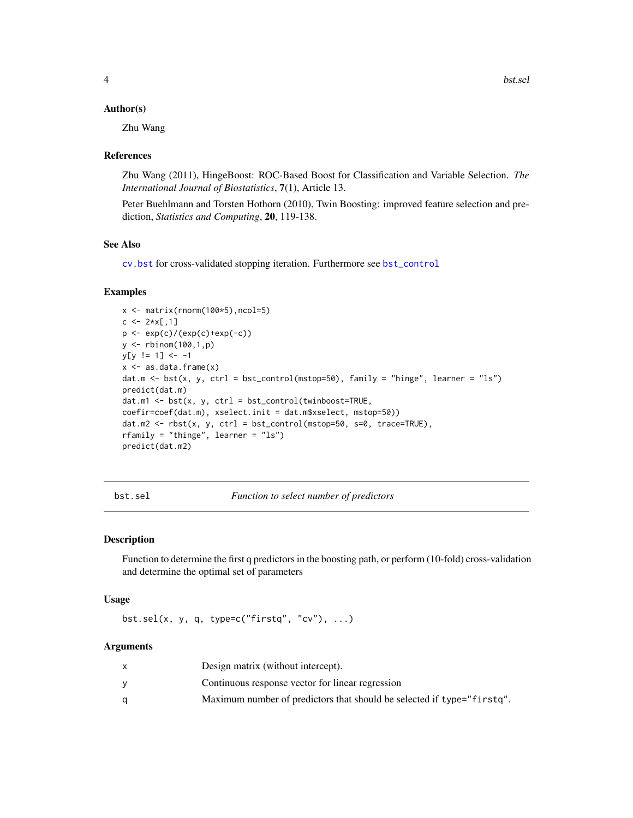#### <span id="page-3-0"></span>Author(s)

Zhu Wang

#### References

Zhu Wang (2011), HingeBoost: ROC-Based Boost for Classification and Variable Selection. *The International Journal of Biostatistics*, 7(1), Article 13.

Peter Buehlmann and Torsten Hothorn (2010), Twin Boosting: improved feature selection and prediction, *Statistics and Computing*, 20, 119-138.

# See Also

[cv.bst](#page-6-1) for cross-validated stopping iteration. Furthermore see [bst\\_control](#page-4-1)

#### Examples

```
x \leftarrow \text{matrix}(rnorm(100*5), ncol=5)c \le -2*x[,1]p <- exp(c)/(exp(c)+exp(-c))
y <- rbinom(100,1,p)
y[y := 1] <- -1
x \leftarrow as.data-frame(x)dat.m \le bst(x, y, ctrl = bst_control(mstop=50), family = "hinge", learner = "ls")
predict(dat.m)
dat.m1 <- bst(x, y, ctrl = bst_control(twinboost=TRUE,
coefir=coef(dat.m), xselect.init = dat.m$xselect, mstop=50))
dat.m2 \leq rbst(x, y, ctr1 = bst_countrol(mstop=50, s=0, trace=TRUE),rfamily = "thinge", learner = "ls")
predict(dat.m2)
```
bst.sel *Function to select number of predictors*

#### Description

Function to determine the first q predictors in the boosting path, or perform (10-fold) cross-validation and determine the optimal set of parameters

#### Usage

bst.sel(x, y, q, type=c("firstq", "cv"),  $\dots$ )

| Design matrix (without intercept).                                     |
|------------------------------------------------------------------------|
| Continuous response vector for linear regression                       |
| Maximum number of predictors that should be selected if type="firstq". |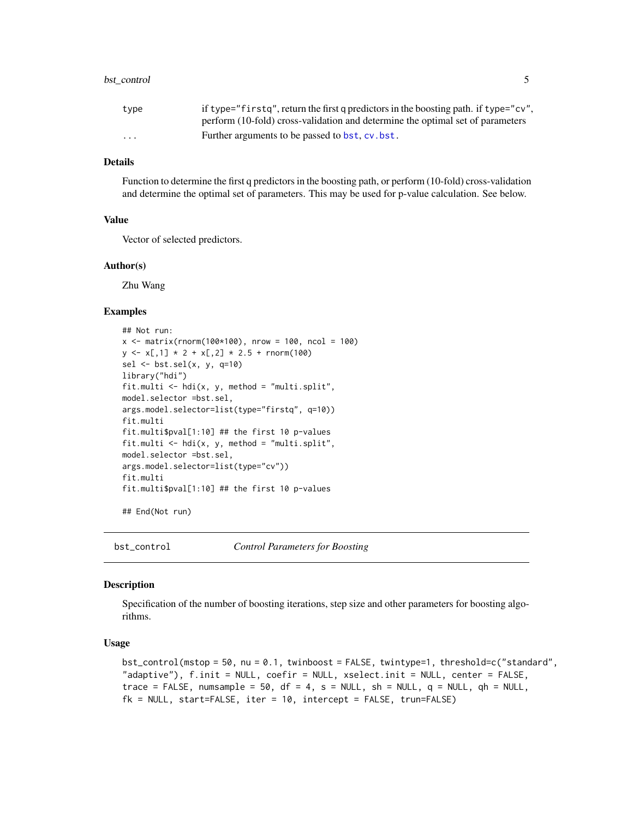# <span id="page-4-0"></span>bst\_control 5

| type     | if type="firstg", return the first g predictors in the boosting path. if type="cv", |
|----------|-------------------------------------------------------------------------------------|
|          | perform (10-fold) cross-validation and determine the optimal set of parameters      |
| $\cdots$ | Further arguments to be passed to bst. cv. bst.                                     |

# **Details**

Function to determine the first q predictors in the boosting path, or perform (10-fold) cross-validation and determine the optimal set of parameters. This may be used for p-value calculation. See below.

#### Value

Vector of selected predictors.

#### Author(s)

Zhu Wang

# Examples

```
## Not run:
x <- matrix(rnorm(100*100), nrow = 100, ncol = 100)
y \leq x[, 1] * 2 + x[, 2] * 2.5 + \text{norm}(100)sel <- bst.sel(x, y, q=10)
library("hdi")
fit.multi \leq - hdi(x, y, method = "multi.split",
model.selector =bst.sel,
args.model.selector=list(type="firstq", q=10))
fit.multi
fit.multi$pval[1:10] ## the first 10 p-values
fit.multi <- hdi(x, y, method = "multi.split",
model.selector =bst.sel,
args.model.selector=list(type="cv"))
fit.multi
fit.multi$pval[1:10] ## the first 10 p-values
```
## End(Not run)

<span id="page-4-1"></span>bst\_control *Control Parameters for Boosting*

#### Description

Specification of the number of boosting iterations, step size and other parameters for boosting algorithms.

#### Usage

```
bst_{control(mstop = 50, nu = 0.1, twinboost = FALSE, twintype=1, threshold=c("standard","adaptive"), f.init = NULL, coefir = NULL, xselect.init = NULL, center = FALSE,
trace = FALSE, numsample = 50, df = 4, s = NULL, sh = NULL, q = NULL, qh = NULL,
fk = NULL, start=FALSE, iter = 10, intercept = FALSE, trun=FALSE)
```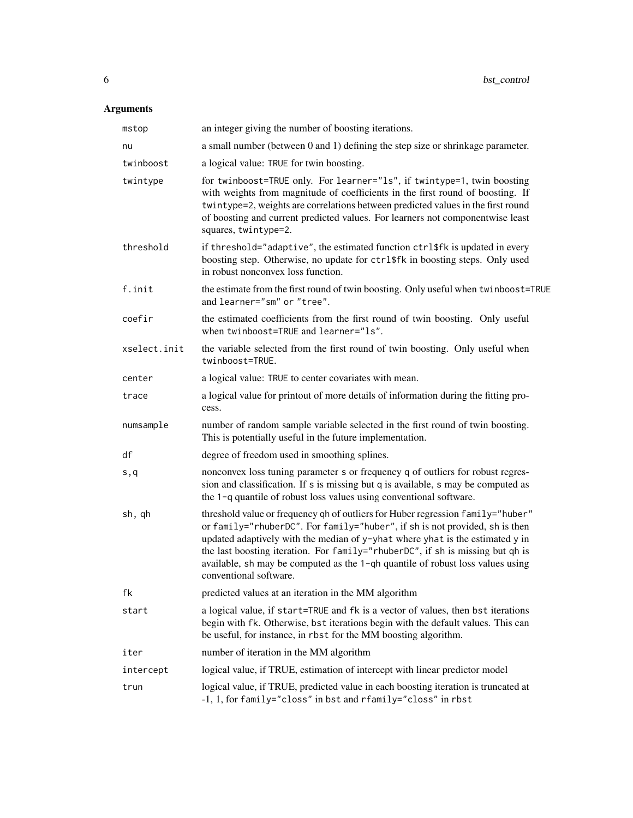| mstop        | an integer giving the number of boosting iterations.                                                                                                                                                                                                                                                                                                                                                                                          |
|--------------|-----------------------------------------------------------------------------------------------------------------------------------------------------------------------------------------------------------------------------------------------------------------------------------------------------------------------------------------------------------------------------------------------------------------------------------------------|
| nu           | a small number (between 0 and 1) defining the step size or shrinkage parameter.                                                                                                                                                                                                                                                                                                                                                               |
| twinboost    | a logical value: TRUE for twin boosting.                                                                                                                                                                                                                                                                                                                                                                                                      |
| twintype     | for twinboost=TRUE only. For learner="1s", if twintype=1, twin boosting<br>with weights from magnitude of coefficients in the first round of boosting. If<br>twintype=2, weights are correlations between predicted values in the first round<br>of boosting and current predicted values. For learners not componentwise least<br>squares, twintype=2.                                                                                       |
| threshold    | if threshold="adaptive", the estimated function ctrl\$fk is updated in every<br>boosting step. Otherwise, no update for ctrl\$fk in boosting steps. Only used<br>in robust nonconvex loss function.                                                                                                                                                                                                                                           |
| f.init       | the estimate from the first round of twin boosting. Only useful when twinboost=TRUE<br>and learner="sm" or "tree".                                                                                                                                                                                                                                                                                                                            |
| coefir       | the estimated coefficients from the first round of twin boosting. Only useful<br>when twinboost=TRUE and learner="ls".                                                                                                                                                                                                                                                                                                                        |
| xselect.init | the variable selected from the first round of twin boosting. Only useful when<br>twinboost=TRUE.                                                                                                                                                                                                                                                                                                                                              |
| center       | a logical value: TRUE to center covariates with mean.                                                                                                                                                                                                                                                                                                                                                                                         |
| trace        | a logical value for printout of more details of information during the fitting pro-<br>cess.                                                                                                                                                                                                                                                                                                                                                  |
| numsample    | number of random sample variable selected in the first round of twin boosting.<br>This is potentially useful in the future implementation.                                                                                                                                                                                                                                                                                                    |
| df           | degree of freedom used in smoothing splines.                                                                                                                                                                                                                                                                                                                                                                                                  |
| s,q          | nonconvex loss tuning parameter s or frequency q of outliers for robust regres-<br>sion and classification. If s is missing but q is available, s may be computed as<br>the 1-q quantile of robust loss values using conventional software.                                                                                                                                                                                                   |
| sh, qh       | threshold value or frequency qh of outliers for Huber regression family="huber"<br>or family="rhuberDC". For family="huber", if sh is not provided, sh is then<br>updated adaptively with the median of y-yhat where yhat is the estimated y in<br>the last boosting iteration. For family="rhuberDC", if sh is missing but qh is<br>available, sh may be computed as the 1-qh quantile of robust loss values using<br>conventional software. |
| fk           | predicted values at an iteration in the MM algorithm                                                                                                                                                                                                                                                                                                                                                                                          |
| start        | a logical value, if start=TRUE and fk is a vector of values, then bst iterations<br>begin with fk. Otherwise, bst iterations begin with the default values. This can<br>be useful, for instance, in rbst for the MM boosting algorithm.                                                                                                                                                                                                       |
| iter         | number of iteration in the MM algorithm                                                                                                                                                                                                                                                                                                                                                                                                       |
| intercept    | logical value, if TRUE, estimation of intercept with linear predictor model                                                                                                                                                                                                                                                                                                                                                                   |
| trun         | logical value, if TRUE, predicted value in each boosting iteration is truncated at<br>-1, 1, for family="closs" in bst and rfamily="closs" in rbst                                                                                                                                                                                                                                                                                            |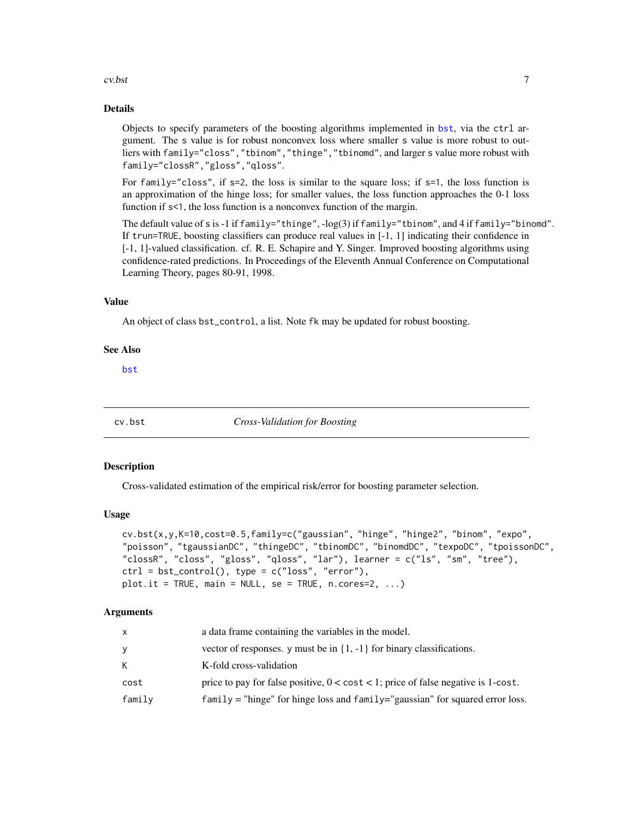#### <span id="page-6-0"></span>cv.bst 7

#### Details

Objects to specify parameters of the boosting algorithms implemented in [bst](#page-1-1), via the ctrl argument. The s value is for robust nonconvex loss where smaller s value is more robust to outliers with family="closs","tbinom","thinge","tbinomd", and larger s value more robust with family="clossR","gloss","qloss".

For family="closs", if  $s=2$ , the loss is similar to the square loss; if  $s=1$ , the loss function is an approximation of the hinge loss; for smaller values, the loss function approaches the 0-1 loss function if  $s$ <1, the loss function is a nonconvex function of the margin.

The default value of s is -1 if family="thinge", -log(3) if family="tbinom", and 4 if family="binomd". If trun=TRUE, boosting classifiers can produce real values in [-1, 1] indicating their confidence in [-1, 1]-valued classification. cf. R. E. Schapire and Y. Singer. Improved boosting algorithms using confidence-rated predictions. In Proceedings of the Eleventh Annual Conference on Computational Learning Theory, pages 80-91, 1998.

#### Value

An object of class bst\_control, a list. Note fk may be updated for robust boosting.

#### See Also

[bst](#page-1-1)

<span id="page-6-1"></span>

cv.bst *Cross-Validation for Boosting*

#### Description

Cross-validated estimation of the empirical risk/error for boosting parameter selection.

#### Usage

```
cv.bst(x,y,K=10,cost=0.5,family=c("gaussian", "hinge", "hinge2", "binom", "expo",
"poisson", "tgaussianDC", "thingeDC", "tbinomDC", "binomdDC", "texpoDC", "tpoissonDC",
"clossR", "closs", "gloss", "qloss", "lar"), learner = c("ls", "sm", "tree"),
ctrl = bst_countrol(), type = c("loss", "error"),plot.it = TRUE, main = NULL, se = TRUE, n.cores=2, ...)
```

| x      | a data frame containing the variables in the model.                                         |
|--------|---------------------------------------------------------------------------------------------|
| ٧      | vector of responses. y must be in $\{1, -1\}$ for binary classifications.                   |
| K      | K-fold cross-validation                                                                     |
| cost   | price to pay for false positive, $0 < \text{cost} < 1$ ; price of false negative is 1-cost. |
| family | $family$ = "hinge" for hinge loss and $family$ ="gaussian" for squared error loss.          |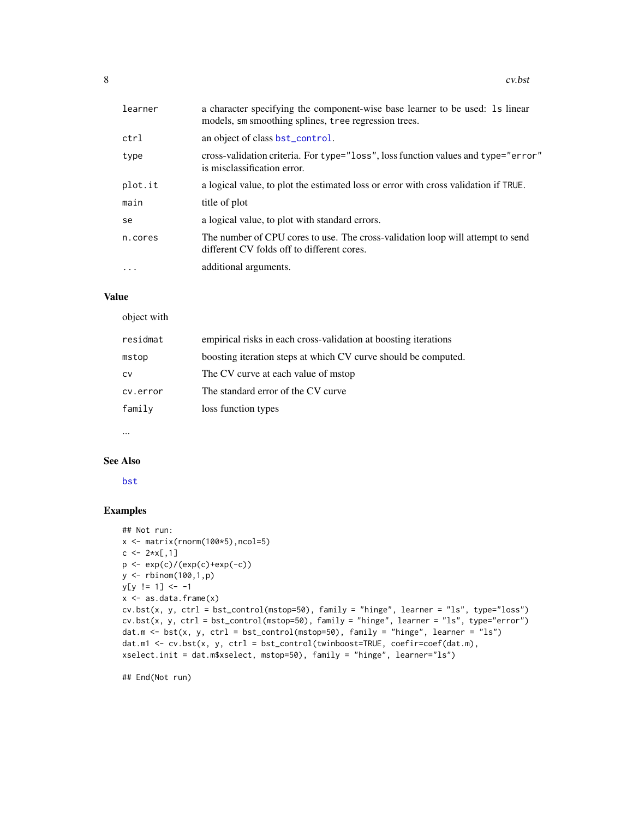<span id="page-7-0"></span>

| learner  | a character specifying the component-wise base learner to be used: 1s linear<br>models, sm smoothing splines, tree regression trees. |
|----------|--------------------------------------------------------------------------------------------------------------------------------------|
| ctrl     | an object of class bst_control.                                                                                                      |
| type     | cross-validation criteria. For type="loss", loss function values and type="error"<br>is misclassification error.                     |
| plot.it  | a logical value, to plot the estimated loss or error with cross validation if TRUE.                                                  |
| main     | title of plot                                                                                                                        |
| se       | a logical value, to plot with standard errors.                                                                                       |
| n.cores  | The number of CPU cores to use. The cross-validation loop will attempt to send<br>different CV folds off to different cores.         |
| $\ddots$ | additional arguments.                                                                                                                |

# Value

object with

| residmat | empirical risks in each cross-validation at boosting iterations |
|----------|-----------------------------------------------------------------|
| mstop    | boosting iteration steps at which CV curve should be computed.  |
| CV       | The CV curve at each value of mstop                             |
| cv.error | The standard error of the CV curve                              |
| family   | loss function types                                             |
|          |                                                                 |

...

#### See Also

[bst](#page-1-1)

# Examples

```
## Not run:
x \leftarrow \text{matrix}(rnorm(100*5), ncol=5)c \le -2*x[,1]p \leftarrow \exp(c) / (\exp(c) + \exp(-c))y <- rbinom(100,1,p)
y[y := 1] <- -1
x \leftarrow as.data-frame(x)cv.bst(x, y, ctrl = bst_control(mstop=50), family = "hinge", learner = "ls", type="loss")
cv.bst(x, y, ctr1 = bst\_control(mstop=50), family = "hinge", learner = "ls", type="error")dat.m <- bst(x, y, ctrl = bst_control(mstop=50), family = "hinge", learner = "ls")
dat.m1 <- cv.bst(x, y, ctrl = bst_control(twinboost=TRUE, coefir=coef(dat.m),
xselect.init = dat.m$xselect, mstop=50), family = "hinge", learner="ls")
```
## End(Not run)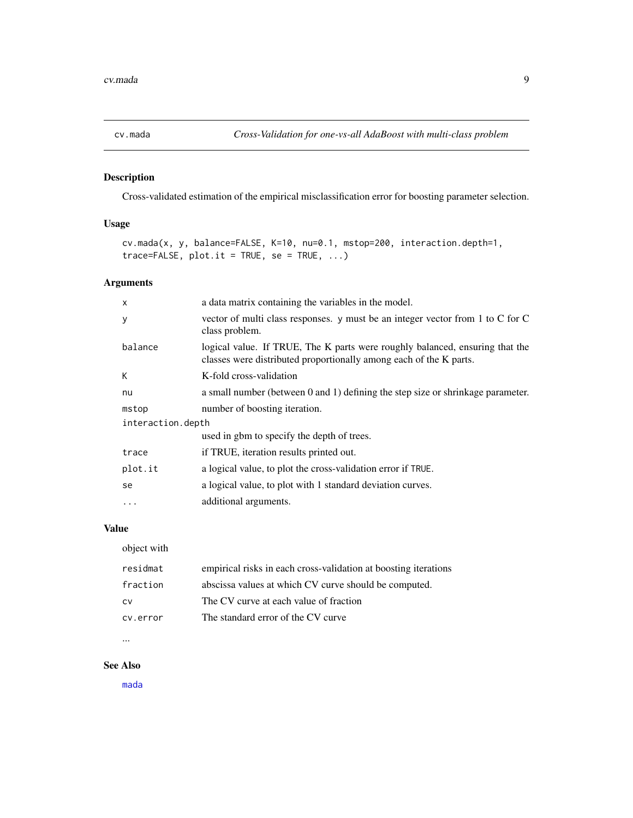<span id="page-8-1"></span><span id="page-8-0"></span>

# Description

Cross-validated estimation of the empirical misclassification error for boosting parameter selection.

# Usage

cv.mada(x, y, balance=FALSE, K=10, nu=0.1, mstop=200, interaction.depth=1,  $trace=False, plot.it = TRUE, se = TRUE, ...$ 

# Arguments

| $\boldsymbol{\mathsf{x}}$ | a data matrix containing the variables in the model.                                                                                               |  |
|---------------------------|----------------------------------------------------------------------------------------------------------------------------------------------------|--|
| y                         | vector of multi class responses. y must be an integer vector from 1 to C for C<br>class problem.                                                   |  |
| balance                   | logical value. If TRUE, The K parts were roughly balanced, ensuring that the<br>classes were distributed proportionally among each of the K parts. |  |
| К                         | K-fold cross-validation                                                                                                                            |  |
| nu                        | a small number (between 0 and 1) defining the step size or shrinkage parameter.                                                                    |  |
| mstop                     | number of boosting iteration.                                                                                                                      |  |
| interaction.depth         |                                                                                                                                                    |  |
|                           | used in gbm to specify the depth of trees.                                                                                                         |  |
| trace                     | if TRUE, iteration results printed out.                                                                                                            |  |
| plot.it                   | a logical value, to plot the cross-validation error if TRUE.                                                                                       |  |
| se                        | a logical value, to plot with 1 standard deviation curves.                                                                                         |  |
| $\cdots$                  | additional arguments.                                                                                                                              |  |

# Value

object with

| residmat | empirical risks in each cross-validation at boosting iterations |
|----------|-----------------------------------------------------------------|
| fraction | abscissa values at which CV curve should be computed.           |
| CV       | The CV curve at each value of fraction                          |
| cv.error | The standard error of the CV curve                              |
|          |                                                                 |

<sup>...</sup>

# See Also

[mada](#page-16-1)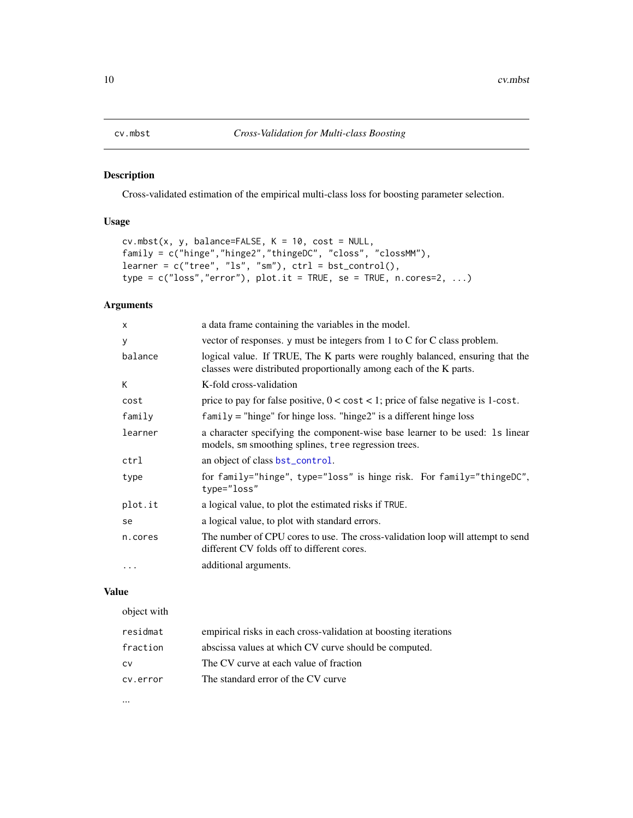# <span id="page-9-1"></span><span id="page-9-0"></span>Description

Cross-validated estimation of the empirical multi-class loss for boosting parameter selection.

# Usage

```
cv.mbst(x, y, balance=FALSE, K = 10, cost = NULL,family = c("hinge","hinge2","thingeDC", "closs", "clossMM"),
learner = c("tree", "ls", "sm"), ctr1 = bst_countol(),type = c("loss", "error"), plot.it = TRUE, se = TRUE, n.corese=2, ...)
```
### Arguments

| $\boldsymbol{\mathsf{x}}$ | a data frame containing the variables in the model.                                                                                                |  |
|---------------------------|----------------------------------------------------------------------------------------------------------------------------------------------------|--|
| y                         | vector of responses. y must be integers from 1 to C for C class problem.                                                                           |  |
| balance                   | logical value. If TRUE, The K parts were roughly balanced, ensuring that the<br>classes were distributed proportionally among each of the K parts. |  |
| К                         | K-fold cross-validation                                                                                                                            |  |
| cost                      | price to pay for false positive, $0 < \text{cost} < 1$ ; price of false negative is 1-cost.                                                        |  |
| family                    | $family = "hinge"$ for hinge loss. "hinge2" is a different hinge loss                                                                              |  |
| learner                   | a character specifying the component-wise base learner to be used: 1s linear<br>models, sm smoothing splines, tree regression trees.               |  |
| ctrl                      | an object of class bst_control.                                                                                                                    |  |
| type                      | for family="hinge", type="loss" is hinge risk. For family="thingeDC",<br>type="loss"                                                               |  |
| plot.it                   | a logical value, to plot the estimated risks if TRUE.                                                                                              |  |
| se                        | a logical value, to plot with standard errors.                                                                                                     |  |
| n.cores                   | The number of CPU cores to use. The cross-validation loop will attempt to send<br>different CV folds off to different cores.                       |  |
| $\cdots$                  | additional arguments.                                                                                                                              |  |

#### Value

object with

| residmat | empirical risks in each cross-validation at boosting iterations |
|----------|-----------------------------------------------------------------|
| fraction | abscissa values at which CV curve should be computed.           |
| CV       | The CV curve at each value of fraction                          |
| cv.error | The standard error of the CV curve                              |

...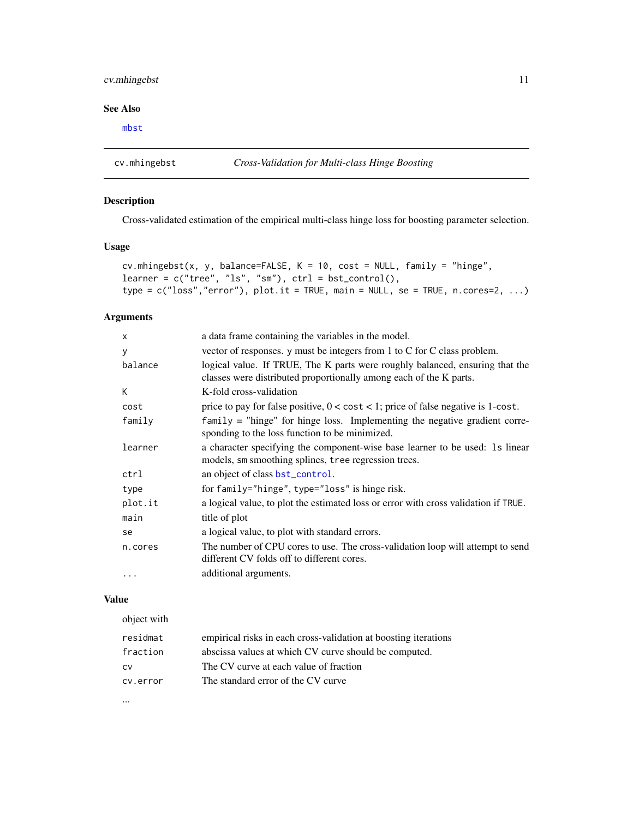# <span id="page-10-0"></span>cv.mhingebst 11

# See Also

[mbst](#page-17-1)

<span id="page-10-1"></span>cv.mhingebst *Cross-Validation for Multi-class Hinge Boosting*

# Description

Cross-validated estimation of the empirical multi-class hinge loss for boosting parameter selection.

#### Usage

```
cv.mhingebst(x, y, balance=FALSE, K = 10, cost = NULL, family = "hinge",
learner = c("tree", "ls", "sm"), ctrl = bst_countol(),type = c("loss", "error"), plot.it = TRUE, main = NULL, se = TRUE, n.corese=2, ...)
```
# Arguments

| $\mathsf{x}$ | a data frame containing the variables in the model.                                                                                                |  |
|--------------|----------------------------------------------------------------------------------------------------------------------------------------------------|--|
| y            | vector of responses. y must be integers from 1 to C for C class problem.                                                                           |  |
| balance      | logical value. If TRUE, The K parts were roughly balanced, ensuring that the<br>classes were distributed proportionally among each of the K parts. |  |
| К            | K-fold cross-validation                                                                                                                            |  |
| cost         | price to pay for false positive, $0 < \text{cost} < 1$ ; price of false negative is 1-cost.                                                        |  |
| family       | $family = "hinge"$ for hinge loss. Implementing the negative gradient corre-<br>sponding to the loss function to be minimized.                     |  |
| learner      | a character specifying the component-wise base learner to be used: 1s linear<br>models, sm smoothing splines, tree regression trees.               |  |
| ctrl         | an object of class bst_control.                                                                                                                    |  |
| type         | for family="hinge", type="loss" is hinge risk.                                                                                                     |  |
| plot.it      | a logical value, to plot the estimated loss or error with cross validation if TRUE.                                                                |  |
| main         | title of plot                                                                                                                                      |  |
| se           | a logical value, to plot with standard errors.                                                                                                     |  |
| n.cores      | The number of CPU cores to use. The cross-validation loop will attempt to send<br>different CV folds off to different cores.                       |  |
|              | additional arguments.                                                                                                                              |  |

# Value

| object with |                                                                 |
|-------------|-----------------------------------------------------------------|
| residmat    | empirical risks in each cross-validation at boosting iterations |
| fraction    | abscissa values at which CV curve should be computed.           |
| CV          | The CV curve at each value of fraction                          |
| cy.error    | The standard error of the CV curve                              |
|             |                                                                 |

...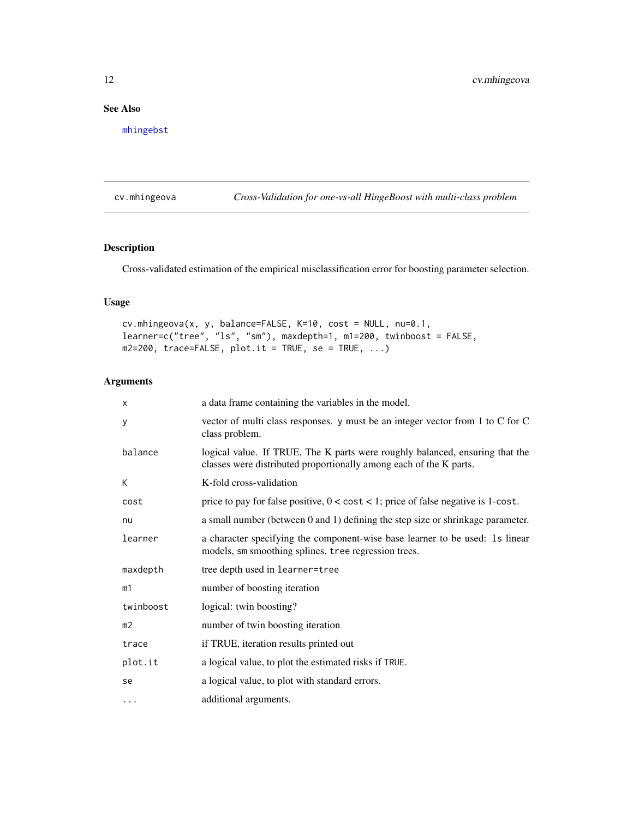# <span id="page-11-0"></span>See Also

[mhingebst](#page-19-1)

cv.mhingeova *Cross-Validation for one-vs-all HingeBoost with multi-class problem*

# Description

Cross-validated estimation of the empirical misclassification error for boosting parameter selection.

# Usage

```
cv.mhingeova(x, y, balance=FALSE, K=10, cost = NULL, nu=0.1,
learner=c("tree", "ls", "sm"), maxdepth=1, m1=200, twinboost = FALSE,
m2=200, trace=FALSE, plot.it = TRUE, se = TRUE, ...)
```

| $\times$       | a data frame containing the variables in the model.                                                                                                |
|----------------|----------------------------------------------------------------------------------------------------------------------------------------------------|
| У              | vector of multi class responses. y must be an integer vector from 1 to C for C<br>class problem.                                                   |
| balance        | logical value. If TRUE, The K parts were roughly balanced, ensuring that the<br>classes were distributed proportionally among each of the K parts. |
| К              | K-fold cross-validation                                                                                                                            |
| cost           | price to pay for false positive, $0 < \text{cost} < 1$ ; price of false negative is 1-cost.                                                        |
| nu             | a small number (between 0 and 1) defining the step size or shrinkage parameter.                                                                    |
| learner        | a character specifying the component-wise base learner to be used: 1s linear<br>models, sm smoothing splines, tree regression trees.               |
| maxdepth       | tree depth used in learner=tree                                                                                                                    |
| m1             | number of boosting iteration                                                                                                                       |
| twinboost      | logical: twin boosting?                                                                                                                            |
| m <sub>2</sub> | number of twin boosting iteration                                                                                                                  |
| trace          | if TRUE, iteration results printed out                                                                                                             |
| plot.it        | a logical value, to plot the estimated risks if TRUE.                                                                                              |
| se             | a logical value, to plot with standard errors.                                                                                                     |
| $\cdots$       | additional arguments.                                                                                                                              |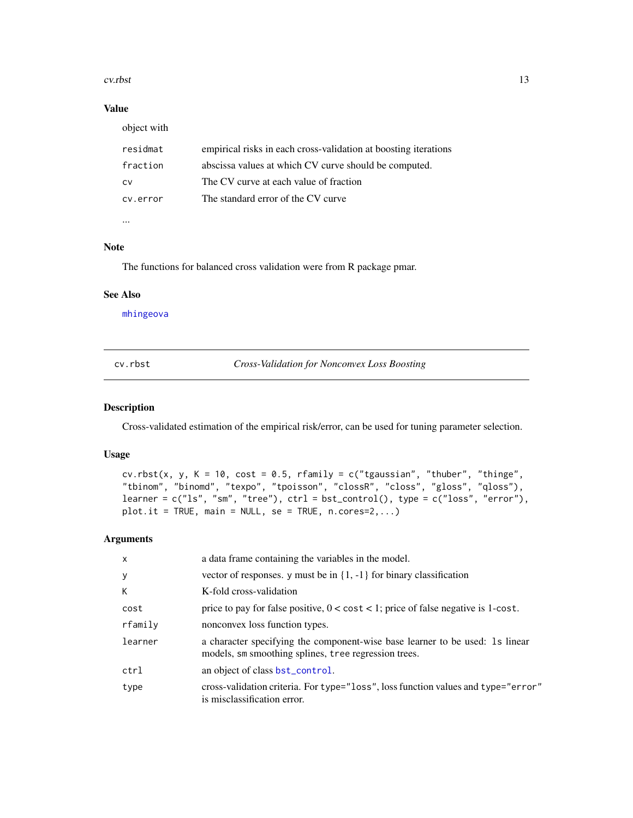#### <span id="page-12-0"></span>cv.rbst 13

# Value

object with

| residmat | empirical risks in each cross-validation at boosting iterations |  |
|----------|-----------------------------------------------------------------|--|
| fraction | abscissa values at which CV curve should be computed.           |  |
| CV       | The CV curve at each value of fraction                          |  |
| cy.error | The standard error of the CV curve                              |  |
|          |                                                                 |  |

...

# Note

The functions for balanced cross validation were from R package pmar.

# See Also

[mhingeova](#page-21-1)

<span id="page-12-1"></span>cv.rbst *Cross-Validation for Nonconvex Loss Boosting*

#### Description

Cross-validated estimation of the empirical risk/error, can be used for tuning parameter selection.

## Usage

```
cv.rbst(x, y, K = 10, cost = 0.5, framily = c("tgaussian", "thuber", "thinge","tbinom", "binomd", "texpo", "tpoisson", "clossR", "closs", "gloss", "qloss"),
learner = c("ls", "sm", "tree"), ctrl = bst_countrol(), type = c("loss", "error"),plot.it = TRUE, main = NULL, se = TRUE, n.corese=2,...)
```

| $\mathsf{x}$ | a data frame containing the variables in the model.                                                                                  |
|--------------|--------------------------------------------------------------------------------------------------------------------------------------|
| У            | vector of responses. y must be in $\{1, -1\}$ for binary classification                                                              |
| K            | K-fold cross-validation                                                                                                              |
| cost         | price to pay for false positive, $0 < \text{cost} < 1$ ; price of false negative is 1-cost.                                          |
| rfamily      | nonconvex loss function types.                                                                                                       |
| learner      | a character specifying the component-wise base learner to be used: 1s linear<br>models, sm smoothing splines, tree regression trees. |
| ctrl         | an object of class bst_control.                                                                                                      |
| type         | cross-validation criteria. For type="loss", loss function values and type="error"<br>is misclassification error.                     |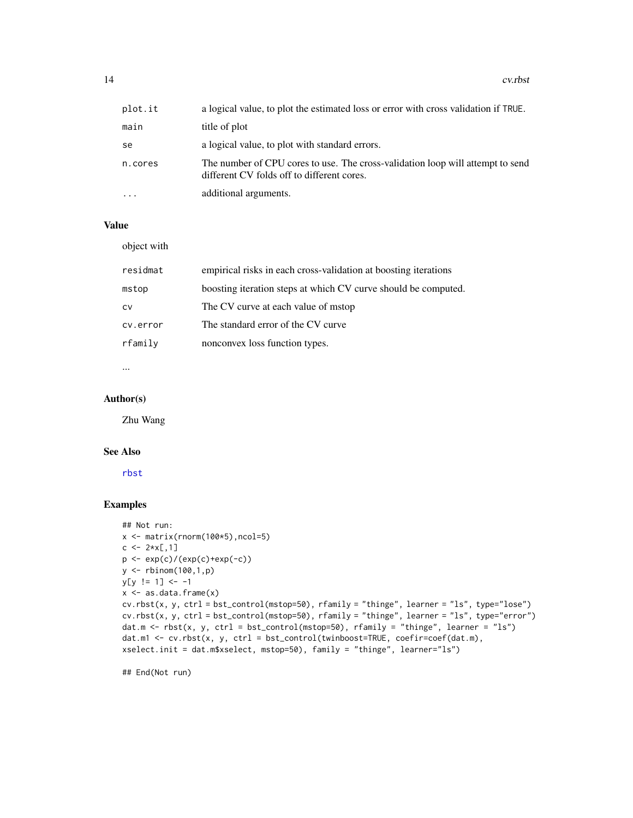<span id="page-13-0"></span>14 cv.rbst

| plot.it | a logical value, to plot the estimated loss or error with cross validation if TRUE.                                          |
|---------|------------------------------------------------------------------------------------------------------------------------------|
| main    | title of plot                                                                                                                |
| se      | a logical value, to plot with standard errors.                                                                               |
| n.cores | The number of CPU cores to use. The cross-validation loop will attempt to send<br>different CV folds off to different cores. |
| .       | additional arguments.                                                                                                        |

# Value

object with

| empirical risks in each cross-validation at boosting iterations |
|-----------------------------------------------------------------|
| boosting iteration steps at which CV curve should be computed.  |
| The CV curve at each value of mstop                             |
| The standard error of the CV curve                              |
| nonconvex loss function types.                                  |
|                                                                 |

...

# Author(s)

Zhu Wang

#### See Also

[rbst](#page-23-1)

# Examples

```
## Not run:
x \leftarrow \text{matrix}(rnorm(100*5), ncol=5)c \le -2*x[,1]p \leftarrow \exp(c) / (\exp(c) + \exp(-c))y <- rbinom(100,1,p)
y[y := 1] <- -1
x \leftarrow as.data-frame(x)cv.rbst(x, y, ctr1 = bst_counto1(mstop=50), rfamily = "thinge", learner = "ls", type="lose")cv.rbst(x, y, ctrl = bst_control(mstop=50), rfamily = "thinge", learner = "ls", type="error")
dat.m <- rbst(x, y, ctrl = bst_control(mstop=50), rfamily = "thinge", learner = "ls")
dat.m1 <- cv.rbst(x, y, ctrl = bst_control(twinboost=TRUE, coefir=coef(dat.m),
xselect.init = dat.m$xselect, mstop=50), family = "thinge", learner="ls")
```
## End(Not run)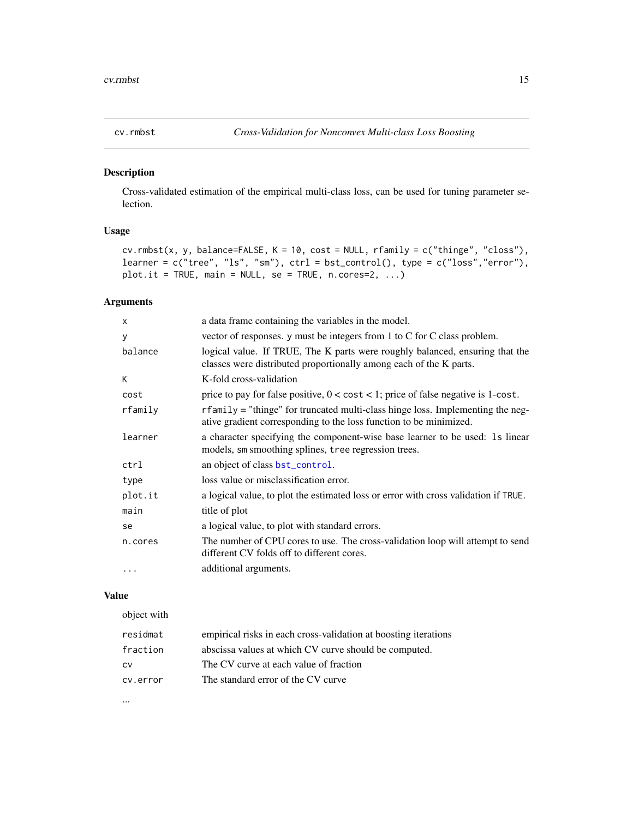<span id="page-14-1"></span><span id="page-14-0"></span>

# Description

Cross-validated estimation of the empirical multi-class loss, can be used for tuning parameter selection.

#### Usage

```
cv.rmbst(x, y, balance=FALSE, K = 10, cost = NULL, rf aminy = c("thinge", "closs"),learner = c("tree", "ls", "sm"), crl = bst_countrol(), type = c("loss", "error"),plot.it = TRUE, main = NULL, se = TRUE, n.cores=2, ...)
```
# Arguments

| a data frame containing the variables in the model.                                                                                                  |  |
|------------------------------------------------------------------------------------------------------------------------------------------------------|--|
| vector of responses. y must be integers from 1 to C for C class problem.                                                                             |  |
| logical value. If TRUE, The K parts were roughly balanced, ensuring that the<br>classes were distributed proportionally among each of the K parts.   |  |
| K-fold cross-validation                                                                                                                              |  |
| price to pay for false positive, $0 < \text{cost} < 1$ ; price of false negative is 1-cost.                                                          |  |
| rfamily = "thinge" for truncated multi-class hinge loss. Implementing the neg-<br>ative gradient corresponding to the loss function to be minimized. |  |
| a character specifying the component-wise base learner to be used: 1s linear<br>models, sm smoothing splines, tree regression trees.                 |  |
| an object of class bst_control.                                                                                                                      |  |
| loss value or misclassification error.                                                                                                               |  |
| a logical value, to plot the estimated loss or error with cross validation if TRUE.                                                                  |  |
| title of plot                                                                                                                                        |  |
| a logical value, to plot with standard errors.                                                                                                       |  |
| The number of CPU cores to use. The cross-validation loop will attempt to send<br>different CV folds off to different cores.                         |  |
| additional arguments.                                                                                                                                |  |
|                                                                                                                                                      |  |

## Value

# object with residmat empirical risks in each cross-validation at boosting iterations fraction abscissa values at which CV curve should be computed. cv The CV curve at each value of fraction cv.error The standard error of the CV curve

...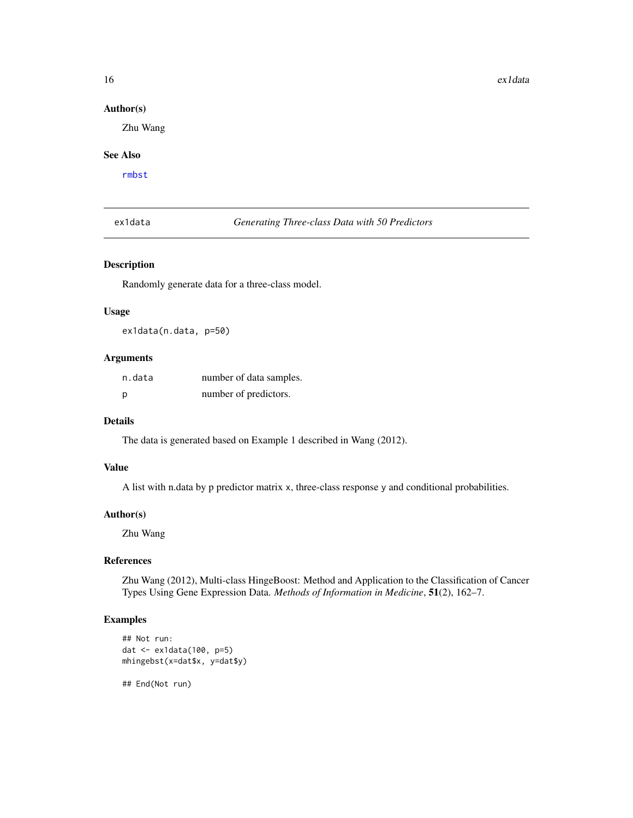#### <span id="page-15-0"></span>Author(s)

Zhu Wang

#### See Also

[rmbst](#page-26-1)

ex1data *Generating Three-class Data with 50 Predictors*

#### Description

Randomly generate data for a three-class model.

#### Usage

ex1data(n.data, p=50)

# Arguments

| n.data | number of data samples. |
|--------|-------------------------|
| р      | number of predictors.   |

# Details

The data is generated based on Example 1 described in Wang (2012).

#### Value

A list with n.data by p predictor matrix x, three-class response y and conditional probabilities.

#### Author(s)

Zhu Wang

#### References

Zhu Wang (2012), Multi-class HingeBoost: Method and Application to the Classification of Cancer Types Using Gene Expression Data. *Methods of Information in Medicine*, 51(2), 162–7.

# Examples

```
## Not run:
dat <- ex1data(100, p=5)
mhingebst(x=dat$x, y=dat$y)
```
## End(Not run)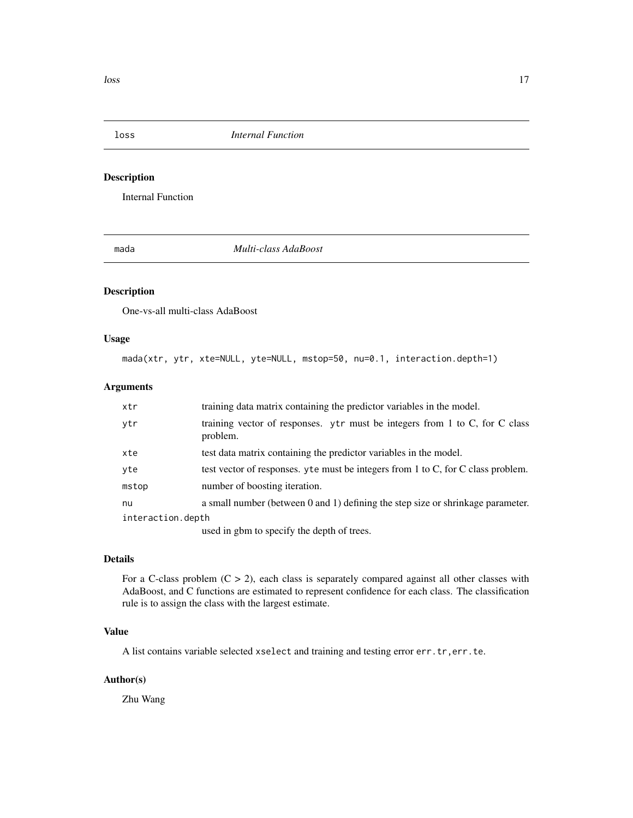<span id="page-16-0"></span>loss *Internal Function*

# Description

Internal Function

<span id="page-16-1"></span>

mada *Multi-class AdaBoost*

# Description

One-vs-all multi-class AdaBoost

#### Usage

mada(xtr, ytr, xte=NULL, yte=NULL, mstop=50, nu=0.1, interaction.depth=1)

#### Arguments

| xtr               | training data matrix containing the predictor variables in the model.                   |
|-------------------|-----------------------------------------------------------------------------------------|
| ytr               | training vector of responses. ytr must be integers from 1 to C, for C class<br>problem. |
| xte               | test data matrix containing the predictor variables in the model.                       |
| yte               | test vector of responses, yte must be integers from 1 to C, for C class problem.        |
| mstop             | number of boosting iteration.                                                           |
| nu                | a small number (between 0 and 1) defining the step size or shrinkage parameter.         |
| interaction.depth |                                                                                         |
|                   | used in oppo to specify the depth of trees                                              |

used in gbm to specify the depth of trees.

#### Details

For a C-class problem  $(C > 2)$ , each class is separately compared against all other classes with AdaBoost, and C functions are estimated to represent confidence for each class. The classification rule is to assign the class with the largest estimate.

# Value

A list contains variable selected xselect and training and testing error err.tr,err.te.

# Author(s)

Zhu Wang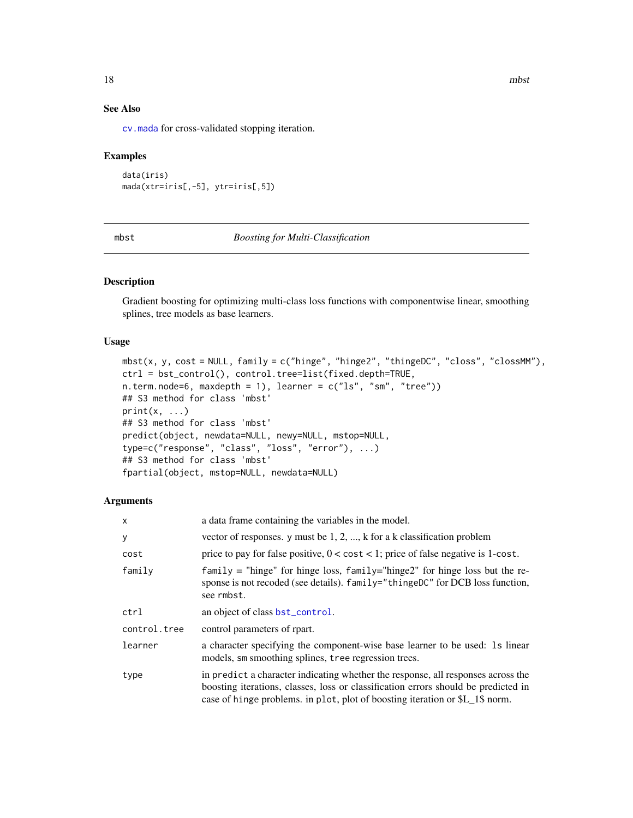# See Also

[cv.mada](#page-8-1) for cross-validated stopping iteration.

#### Examples

```
data(iris)
mada(xtr=iris[,-5], ytr=iris[,5])
```
<span id="page-17-1"></span>mbst *Boosting for Multi-Classification*

# Description

Gradient boosting for optimizing multi-class loss functions with componentwise linear, smoothing splines, tree models as base learners.

#### Usage

```
mbst(x, y, cost = NULL, family = c("hinge", "hinge2", "thingeDC", "class", "classM"),ctrl = bst_control(), control.tree=list(fixed.depth=TRUE,
n.term.node=6, maxdepth = 1), learner = c("ls", "sm", "tree"))## S3 method for class 'mbst'
print(x, \ldots)## S3 method for class 'mbst'
predict(object, newdata=NULL, newy=NULL, mstop=NULL,
type=c("response", "class", "loss", "error"), ...)
## S3 method for class 'mbst'
fpartial(object, mstop=NULL, newdata=NULL)
```

| $\times$     | a data frame containing the variables in the model.                                                                                                                                                                                                    |
|--------------|--------------------------------------------------------------------------------------------------------------------------------------------------------------------------------------------------------------------------------------------------------|
| y            | vector of responses. y must be $1, 2, , k$ for a k classification problem                                                                                                                                                                              |
| cost         | price to pay for false positive, $0 < \text{cost} < 1$ ; price of false negative is 1-cost.                                                                                                                                                            |
| family       | $family = "hinge"$ for hinge loss, $family="hinge2"$ for hinge loss but the re-<br>sponse is not recoded (see details). family="thingeDC" for DCB loss function,<br>see rmbst.                                                                         |
| ctrl         | an object of class bst_control.                                                                                                                                                                                                                        |
| control.tree | control parameters of rpart.                                                                                                                                                                                                                           |
| learner      | a character specifying the component-wise base learner to be used: 1s linear<br>models, sm smoothing splines, tree regression trees.                                                                                                                   |
| type         | in predict a character indicating whether the response, all responses across the<br>boosting iterations, classes, loss or classification errors should be predicted in<br>case of hinge problems. in plot, plot of boosting iteration or \$L_1\$ norm. |

<span id="page-17-0"></span>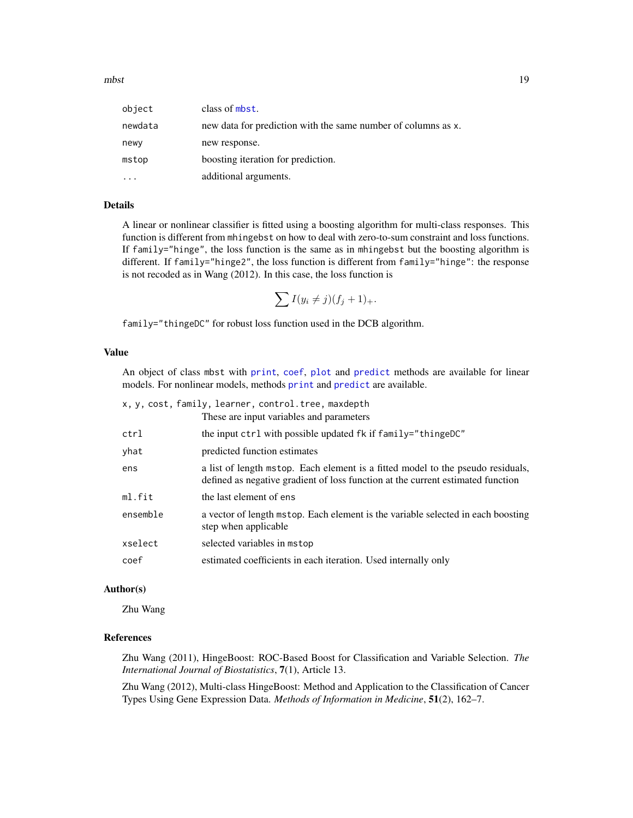<span id="page-18-0"></span>

| object  | class of mbst.                                                |
|---------|---------------------------------------------------------------|
| newdata | new data for prediction with the same number of columns as x. |
| newy    | new response.                                                 |
| mstop   | boosting iteration for prediction.                            |
|         | additional arguments.                                         |

# Details

A linear or nonlinear classifier is fitted using a boosting algorithm for multi-class responses. This function is different from mhingebst on how to deal with zero-to-sum constraint and loss functions. If family="hinge", the loss function is the same as in mhingebst but the boosting algorithm is different. If family="hinge2", the loss function is different from family="hinge": the response is not recoded as in Wang (2012). In this case, the loss function is

$$
\sum I(y_i \neq j)(f_j + 1)_+.
$$

family="thingeDC" for robust loss function used in the DCB algorithm.

#### Value

An object of class mbst with [print](#page-0-0), [coef](#page-0-0), [plot](#page-0-0) and [predict](#page-0-0) methods are available for linear models. For nonlinear models, methods [print](#page-0-0) and [predict](#page-0-0) are available.

| x, y, cost, family, learner, control.tree, maxdepth |                                                                                                                                                                    |  |
|-----------------------------------------------------|--------------------------------------------------------------------------------------------------------------------------------------------------------------------|--|
|                                                     | These are input variables and parameters                                                                                                                           |  |
| ctrl                                                | the input ctrl with possible updated fk if family="thingeDC"                                                                                                       |  |
| yhat                                                | predicted function estimates                                                                                                                                       |  |
| ens                                                 | a list of length mstop. Each element is a fitted model to the pseudo residuals,<br>defined as negative gradient of loss function at the current estimated function |  |
| ml.fit                                              | the last element of ens                                                                                                                                            |  |
| ensemble                                            | a vector of length mstop. Each element is the variable selected in each boosting<br>step when applicable                                                           |  |
| xselect                                             | selected variables in mstop                                                                                                                                        |  |
| coef                                                | estimated coefficients in each iteration. Used internally only                                                                                                     |  |

#### Author(s)

Zhu Wang

#### References

Zhu Wang (2011), HingeBoost: ROC-Based Boost for Classification and Variable Selection. *The International Journal of Biostatistics*, 7(1), Article 13.

Zhu Wang (2012), Multi-class HingeBoost: Method and Application to the Classification of Cancer Types Using Gene Expression Data. *Methods of Information in Medicine*, 51(2), 162–7.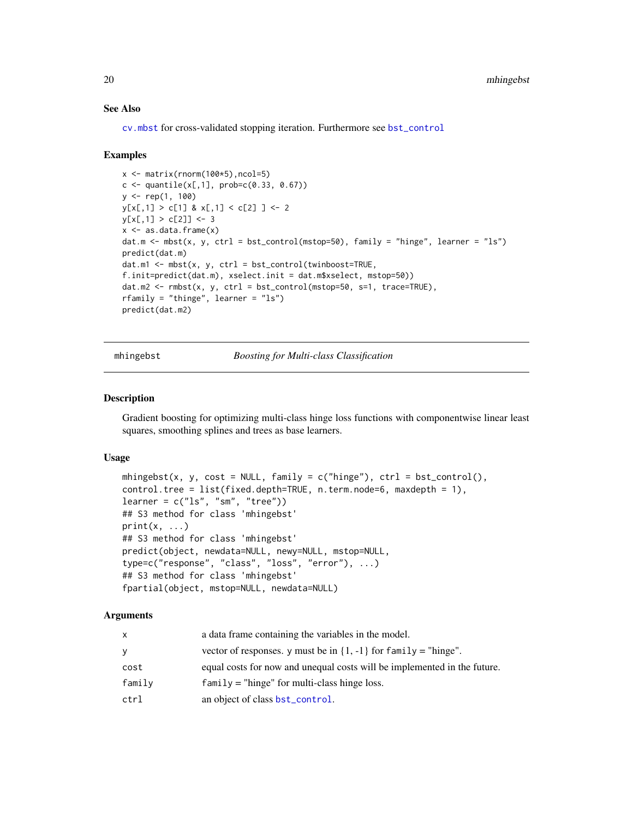#### See Also

[cv.mbst](#page-9-1) for cross-validated stopping iteration. Furthermore see [bst\\_control](#page-4-1)

#### Examples

```
x \leftarrow \text{matrix}(rnorm(100*5), ncol=5)c \le quantile(x[,1], prob=c(0.33, 0.67))
y \leq -rep(1, 100)y[x[,1] > c[1] & x[,1] < c[2]] <- 2
y[x[,1] > c[2]] < -3x \leq -a s.data.frame(x)dat.m <- mbst(x, y, ctrl = bst_control(mstop=50), family = "hinge", learner = "ls")
predict(dat.m)
dat.m1 \leftarrow mbst(x, y, ctr1 = bst_{control(twinboost=True,f.init=predict(dat.m), xselect.init = dat.m$xselect, mstop=50))
dat.m2 \leq rmbst(x, y, ctr1 = bst_countol(mstop=50, s=1, trace=TRUE),rfamily = "thinge", learner = "ls")
predict(dat.m2)
```
mhingebst *Boosting for Multi-class Classification*

# **Description**

Gradient boosting for optimizing multi-class hinge loss functions with componentwise linear least squares, smoothing splines and trees as base learners.

#### Usage

```
mhingebst(x, y, cost = NULL, family = c("hinge"), ctrl = bst_countrol(),control.tree = list(fixed.depth=TRUE, n.term.node=6, maxdepth = 1),
learner = c("ls", "sm", "tree"))
## S3 method for class 'mhingebst'
print(x, \ldots)## S3 method for class 'mhingebst'
predict(object, newdata=NULL, newy=NULL, mstop=NULL,
type=c("response", "class", "loss", "error"), ...)
## S3 method for class 'mhingebst'
fpartial(object, mstop=NULL, newdata=NULL)
```

| x      | a data frame containing the variables in the model.                      |
|--------|--------------------------------------------------------------------------|
| V      | vector of responses. y must be in $\{1, -1\}$ for family = "hinge".      |
| cost   | equal costs for now and unequal costs will be implemented in the future. |
| family | $family$ = "hinge" for multi-class hinge loss.                           |
| ctrl   | an object of class bst_control.                                          |

<span id="page-19-0"></span>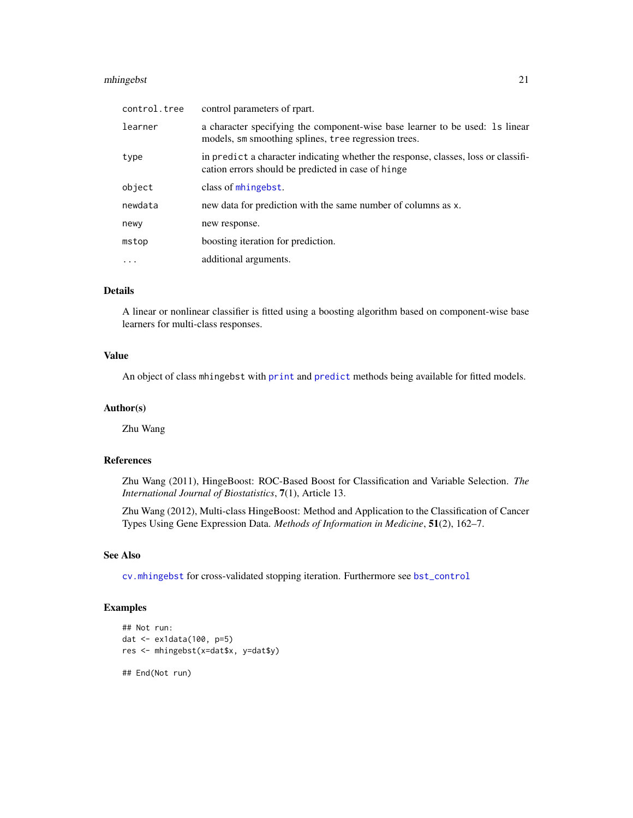# <span id="page-20-0"></span>mhingebst 21

| control.tree | control parameters of rpart.                                                                                                             |
|--------------|------------------------------------------------------------------------------------------------------------------------------------------|
| learner      | a character specifying the component-wise base learner to be used: 1s linear<br>models, sm smoothing splines, tree regression trees.     |
| type         | in predict a character indicating whether the response, classes, loss or classifi-<br>cation errors should be predicted in case of hinge |
| object       | class of mhingebst.                                                                                                                      |
| newdata      | new data for prediction with the same number of columns as x.                                                                            |
| newy         | new response.                                                                                                                            |
| mstop        | boosting iteration for prediction.                                                                                                       |
| .            | additional arguments.                                                                                                                    |

# Details

A linear or nonlinear classifier is fitted using a boosting algorithm based on component-wise base learners for multi-class responses.

# Value

An object of class mhingebst with [print](#page-0-0) and [predict](#page-0-0) methods being available for fitted models.

# Author(s)

Zhu Wang

# References

Zhu Wang (2011), HingeBoost: ROC-Based Boost for Classification and Variable Selection. *The International Journal of Biostatistics*, 7(1), Article 13.

Zhu Wang (2012), Multi-class HingeBoost: Method and Application to the Classification of Cancer Types Using Gene Expression Data. *Methods of Information in Medicine*, 51(2), 162–7.

# See Also

[cv.mhingebst](#page-10-1) for cross-validated stopping iteration. Furthermore see [bst\\_control](#page-4-1)

# Examples

```
## Not run:
dat <- ex1data(100, p=5)
res <- mhingebst(x=dat$x, y=dat$y)
## End(Not run)
```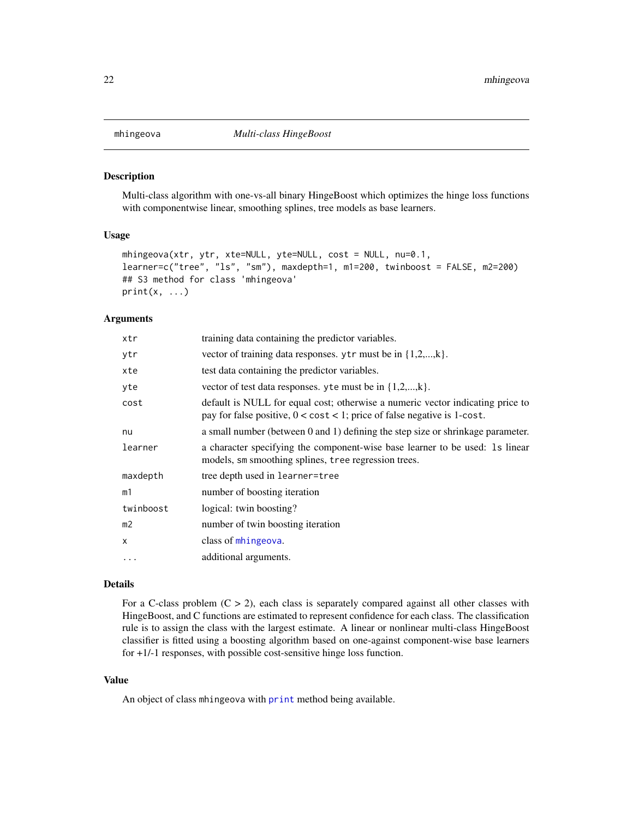<span id="page-21-1"></span><span id="page-21-0"></span>

#### Description

Multi-class algorithm with one-vs-all binary HingeBoost which optimizes the hinge loss functions with componentwise linear, smoothing splines, tree models as base learners.

#### Usage

```
mhingeova(xtr, ytr, xte=NULL, yte=NULL, cost = NULL, nu=0.1,
learner=c("tree", "ls", "sm"), maxdepth=1, m1=200, twinboost = FALSE, m2=200)
## S3 method for class 'mhingeova'
print(x, \ldots)
```
#### Arguments

| xtr            | training data containing the predictor variables.                                                                                                                    |
|----------------|----------------------------------------------------------------------------------------------------------------------------------------------------------------------|
| ytr            | vector of training data responses. ytr must be in $\{1,2,,k\}$ .                                                                                                     |
| xte            | test data containing the predictor variables.                                                                                                                        |
| yte            | vector of test data responses, y te must be in $\{1,2,,k\}$ .                                                                                                        |
| cost           | default is NULL for equal cost; otherwise a numeric vector indicating price to<br>pay for false positive, $0 < \text{cost} < 1$ ; price of false negative is 1-cost. |
| nu             | a small number (between 0 and 1) defining the step size or shrinkage parameter.                                                                                      |
| learner        | a character specifying the component-wise base learner to be used: 1s linear<br>models, sm smoothing splines, tree regression trees.                                 |
| maxdepth       | tree depth used in learner=tree                                                                                                                                      |
| m1             | number of boosting iteration                                                                                                                                         |
| twinboost      | logical: twin boosting?                                                                                                                                              |
| m <sub>2</sub> | number of twin boosting iteration                                                                                                                                    |
| X              | class of mhingeova.                                                                                                                                                  |
| $\cdots$       | additional arguments.                                                                                                                                                |

#### Details

For a C-class problem  $(C > 2)$ , each class is separately compared against all other classes with HingeBoost, and C functions are estimated to represent confidence for each class. The classification rule is to assign the class with the largest estimate. A linear or nonlinear multi-class HingeBoost classifier is fitted using a boosting algorithm based on one-against component-wise base learners for +1/-1 responses, with possible cost-sensitive hinge loss function.

#### Value

An object of class mhingeova with [print](#page-0-0) method being available.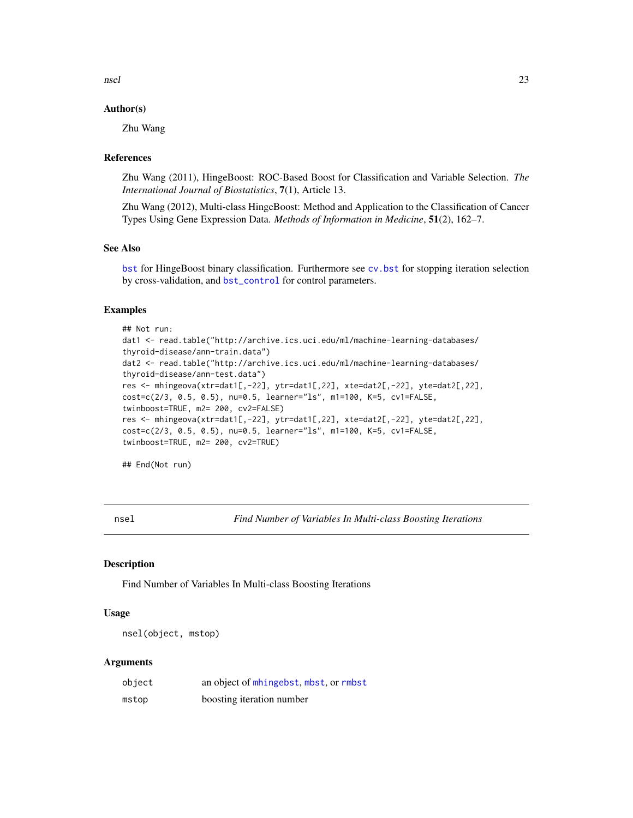<span id="page-22-0"></span>nsel 23

#### Author(s)

Zhu Wang

#### References

Zhu Wang (2011), HingeBoost: ROC-Based Boost for Classification and Variable Selection. *The International Journal of Biostatistics*, 7(1), Article 13.

Zhu Wang (2012), Multi-class HingeBoost: Method and Application to the Classification of Cancer Types Using Gene Expression Data. *Methods of Information in Medicine*, 51(2), 162–7.

#### See Also

[bst](#page-1-1) for HingeBoost binary classification. Furthermore see [cv.bst](#page-6-1) for stopping iteration selection by cross-validation, and [bst\\_control](#page-4-1) for control parameters.

#### Examples

```
## Not run:
dat1 <- read.table("http://archive.ics.uci.edu/ml/machine-learning-databases/
thyroid-disease/ann-train.data")
dat2 <- read.table("http://archive.ics.uci.edu/ml/machine-learning-databases/
thyroid-disease/ann-test.data")
res <- mhingeova(xtr=dat1[,-22], ytr=dat1[,22], xte=dat2[,-22], yte=dat2[,22],
cost=c(2/3, 0.5, 0.5), nu=0.5, learner="ls", m1=100, K=5, cv1=FALSE,
twinboost=TRUE, m2= 200, cv2=FALSE)
res <- mhingeova(xtr=dat1[,-22], ytr=dat1[,22], xte=dat2[,-22], yte=dat2[,22],
cost=c(2/3, 0.5, 0.5), nu=0.5, learner="ls", m1=100, K=5, cv1=FALSE,
twinboost=TRUE, m2= 200, cv2=TRUE)
```
## End(Not run)

nsel *Find Number of Variables In Multi-class Boosting Iterations*

#### Description

Find Number of Variables In Multi-class Boosting Iterations

#### Usage

```
nsel(object, mstop)
```

| object | an object of mhingebst, mbst, or rmbst |
|--------|----------------------------------------|
| mstop  | boosting iteration number              |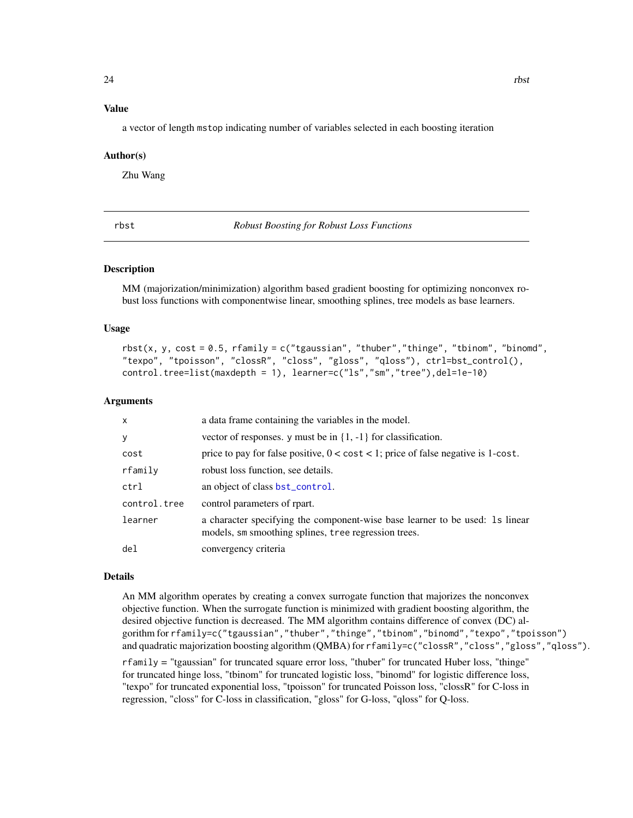#### <span id="page-23-0"></span>Value

a vector of length mstop indicating number of variables selected in each boosting iteration

#### Author(s)

Zhu Wang

<span id="page-23-1"></span>rbst *Robust Boosting for Robust Loss Functions*

#### Description

MM (majorization/minimization) algorithm based gradient boosting for optimizing nonconvex robust loss functions with componentwise linear, smoothing splines, tree models as base learners.

#### Usage

```
rbst(x, y, cost = 0.5, rfamily = c("tgaussian", "thuber", "thinge", "thinom", "binom""texpo", "tpoisson", "clossR", "closs", "gloss", "qloss"), ctrl=bst_control(),
control.tree=list(maxdepth = 1), learner=c("ls","sm","tree"),del=1e-10)
```
#### Arguments

| $\mathsf{x}$    | a data frame containing the variables in the model.                                                                                  |
|-----------------|--------------------------------------------------------------------------------------------------------------------------------------|
| y               | vector of responses. y must be in $\{1, -1\}$ for classification.                                                                    |
| cost            | price to pay for false positive, $0 < \text{cost} < 1$ ; price of false negative is 1-cost.                                          |
| rfamily         | robust loss function, see details.                                                                                                   |
| ctrl            | an object of class bst_control.                                                                                                      |
| control.tree    | control parameters of rpart.                                                                                                         |
| learner         | a character specifying the component-wise base learner to be used: 1s linear<br>models, sm smoothing splines, tree regression trees. |
| de <sub>1</sub> | convergency criteria                                                                                                                 |

#### Details

An MM algorithm operates by creating a convex surrogate function that majorizes the nonconvex objective function. When the surrogate function is minimized with gradient boosting algorithm, the desired objective function is decreased. The MM algorithm contains difference of convex (DC) algorithm for rfamily=c("tgaussian","thuber","thinge","tbinom","binomd","texpo","tpoisson") and quadratic majorization boosting algorithm (QMBA) for rfamily=c("clossR","closs","gloss","qloss"). rfamily = "tgaussian" for truncated square error loss, "thuber" for truncated Huber loss, "thinge" for truncated hinge loss, "tbinom" for truncated logistic loss, "binomd" for logistic difference loss,

"texpo" for truncated exponential loss, "tpoisson" for truncated Poisson loss, "clossR" for C-loss in regression, "closs" for C-loss in classification, "gloss" for G-loss, "qloss" for Q-loss.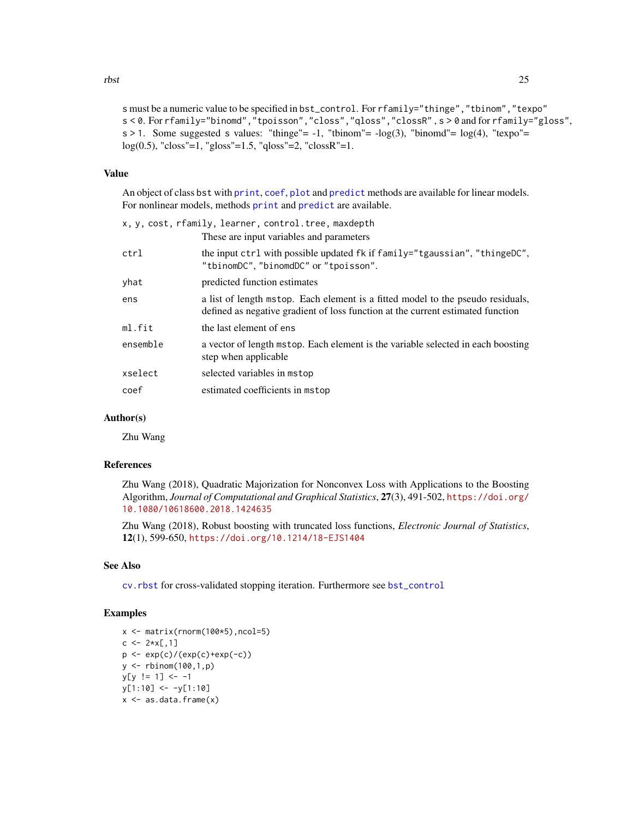<span id="page-24-0"></span>s must be a numeric value to be specified in bst\_control. For rfamily="thinge","tbinom","texpo" s < 0. For rfamily="binomd","tpoisson","closs","qloss","clossR" , s > 0 and for rfamily="gloss",  $s > 1$ . Some suggested s values: "thinge" = -1, "tbinom" =  $-\log(3)$ , "binomd" =  $\log(4)$ , "texpo" =  $log(0.5)$ , "closs"=1, "gloss"=1.5, "qloss"=2, "clossR"=1.

# Value

An object of class bst with [print](#page-0-0), [coef](#page-0-0), [plot](#page-0-0) and [predict](#page-0-0) methods are available for linear models. For nonlinear models, methods [print](#page-0-0) and [predict](#page-0-0) are available.

| x, y, cost, rfamily, learner, control.tree, maxdepth |                                                                                                                                                                    |  |
|------------------------------------------------------|--------------------------------------------------------------------------------------------------------------------------------------------------------------------|--|
|                                                      | These are input variables and parameters                                                                                                                           |  |
| ctrl                                                 | the input ctrl with possible updated fk if family="tgaussian", "thingeDC",<br>"tbinomDC","binomdDC" or "tpoisson".                                                 |  |
| yhat                                                 | predicted function estimates                                                                                                                                       |  |
| ens                                                  | a list of length mstop. Each element is a fitted model to the pseudo residuals,<br>defined as negative gradient of loss function at the current estimated function |  |
| ml.fit                                               | the last element of ens                                                                                                                                            |  |
| ensemble                                             | a vector of length mstop. Each element is the variable selected in each boosting<br>step when applicable                                                           |  |
| xselect                                              | selected variables in mstop                                                                                                                                        |  |
| coef                                                 | estimated coefficients in mstop                                                                                                                                    |  |
|                                                      |                                                                                                                                                                    |  |

#### Author(s)

Zhu Wang

# References

Zhu Wang (2018), Quadratic Majorization for Nonconvex Loss with Applications to the Boosting Algorithm, *Journal of Computational and Graphical Statistics*, 27(3), 491-502, [https://doi.org/](https://doi.org/10.1080/10618600.2018.1424635) [10.1080/10618600.2018.1424635](https://doi.org/10.1080/10618600.2018.1424635)

Zhu Wang (2018), Robust boosting with truncated loss functions, *Electronic Journal of Statistics*, 12(1), 599-650, <https://doi.org/10.1214/18-EJS1404>

### See Also

[cv.rbst](#page-12-1) for cross-validated stopping iteration. Furthermore see [bst\\_control](#page-4-1)

#### Examples

```
x <- matrix(rnorm(100*5),ncol=5)
c \leq 2*x[,1]p \leftarrow \exp(c) / (\exp(c) + \exp(-c))y <- rbinom(100,1,p)
y[y := 1] <- -1
y[1:10] <- -y[1:10]x \leftarrow as.data-frame(x)
```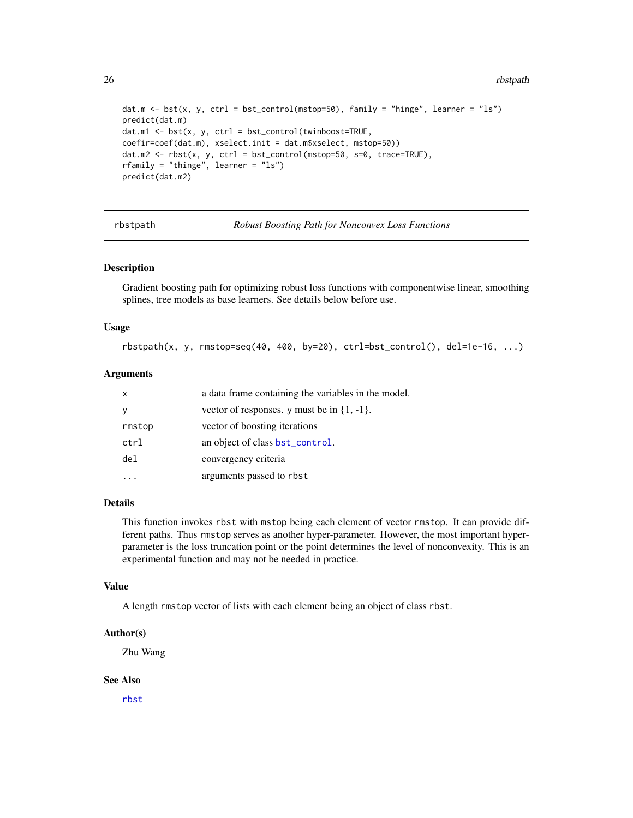26 rbstpath and the control of the control of the control of the control of the control of the control of the control of the control of the control of the control of the control of the control of the control of the control

```
dat.m <- bst(x, y, ctrl = bst_control(mstop=50), family = "hinge", learner = "ls")
predict(dat.m)
dat.m1 <- bst(x, y, ctrl = bst_control(twinboost=TRUE,
coefir=coef(dat.m), xselect.init = dat.m$xselect, mstop=50))
dat.m2 \leq rbst(x, y, ctr1 = bst_countrol(mstop=50, s=0, trace=TRUE),rfamily = "thinge", learner = "ls")
predict(dat.m2)
```
rbstpath *Robust Boosting Path for Nonconvex Loss Functions*

### Description

Gradient boosting path for optimizing robust loss functions with componentwise linear, smoothing splines, tree models as base learners. See details below before use.

#### Usage

```
rbstpath(x, y, rmstop=seq(40, 400, by=20), ctr1=bst_countol(), del=1e-16, ...)
```
# Arguments

| X               | a data frame containing the variables in the model. |
|-----------------|-----------------------------------------------------|
|                 | vector of responses. y must be in $\{1, -1\}$ .     |
| rmstop          | vector of boosting iterations                       |
| ctrl            | an object of class bst_control.                     |
| de <sub>1</sub> | convergency criteria                                |
|                 | arguments passed to rbst                            |

#### Details

This function invokes rbst with mstop being each element of vector rmstop. It can provide different paths. Thus rmstop serves as another hyper-parameter. However, the most important hyperparameter is the loss truncation point or the point determines the level of nonconvexity. This is an experimental function and may not be needed in practice.

#### Value

A length rmstop vector of lists with each element being an object of class rbst.

#### Author(s)

Zhu Wang

#### See Also

[rbst](#page-23-1)

<span id="page-25-0"></span>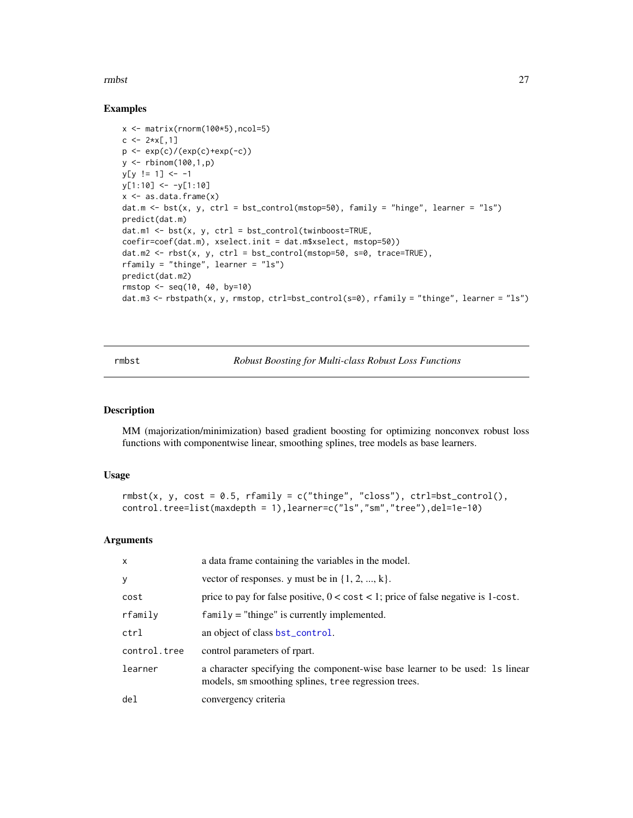<span id="page-26-0"></span>rmbst 27

#### Examples

```
x \leftarrow \text{matrix}(rnorm(100*5), ncol=5)c \le -2*x[,1]p <- exp(c)/(exp(c)+exp(-c))
y <- rbinom(100,1,p)
y[y := 1] <- -1
y[1:10] <- -y[1:10]
x \leq -a s.data.fname(x)dat.m <- bst(x, y, ctrl = bst_control(mstop=50), family = "hinge", learner = "ls")
predict(dat.m)
dat.m1 \leftarrow \text{bst}(x, y, \text{ctrl} = \text{bst\_control}(\text{twinboost} = \text{TRUE},coefir=coef(dat.m), xselect.init = dat.m$xselect, mstop=50))
dat.m2 <- rbst(x, y, ctr1 = bst_{control(mstop=50, s=0, trace=TRUE),
rfamily = "thinge", learner = "ls")
predict(dat.m2)
rmstop <- seq(10, 40, by=10)
dat.m3 <- rbstpath(x, y, rmstop, ctrl=bst_control(s=0), rfamily = "thinge", learner = "ls")
```
<span id="page-26-1"></span>rmbst *Robust Boosting for Multi-class Robust Loss Functions*

#### Description

MM (majorization/minimization) based gradient boosting for optimizing nonconvex robust loss functions with componentwise linear, smoothing splines, tree models as base learners.

#### Usage

```
rmbst(x, y, cost = 0.5, rfamily = c("thinge", "class"), crl=bst_countrol(),control.tree=list(maxdepth = 1),learner=c("ls","sm","tree"),del=1e-10)
```

| $\mathsf{x}$    | a data frame containing the variables in the model.                                                                                  |
|-----------------|--------------------------------------------------------------------------------------------------------------------------------------|
| y               | vector of responses. y must be in $\{1, 2, , k\}$ .                                                                                  |
| cost            | price to pay for false positive, $0 < \text{cost} < 1$ ; price of false negative is 1-cost.                                          |
| rfamily         | $family = "thinge"$ is currently implemented.                                                                                        |
| ctrl            | an object of class bst_control.                                                                                                      |
| control.tree    | control parameters of rpart.                                                                                                         |
| learner         | a character specifying the component-wise base learner to be used: 1s linear<br>models, sm smoothing splines, tree regression trees. |
| de <sub>1</sub> | convergency criteria                                                                                                                 |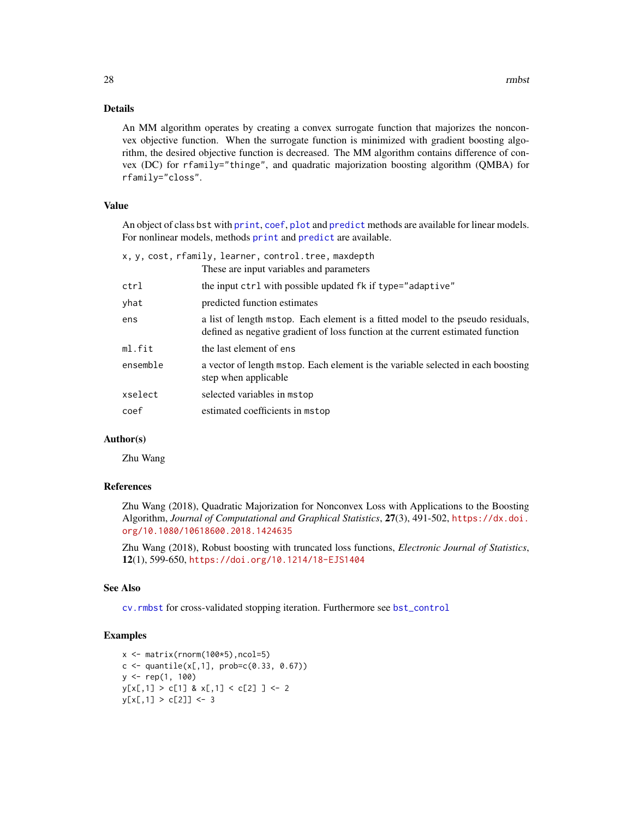#### <span id="page-27-0"></span>Details

An MM algorithm operates by creating a convex surrogate function that majorizes the nonconvex objective function. When the surrogate function is minimized with gradient boosting algorithm, the desired objective function is decreased. The MM algorithm contains difference of convex (DC) for rfamily="thinge", and quadratic majorization boosting algorithm (QMBA) for rfamily="closs".

# Value

An object of class bst with [print](#page-0-0), [coef](#page-0-0), [plot](#page-0-0) and [predict](#page-0-0) methods are available for linear models. For nonlinear models, methods [print](#page-0-0) and [predict](#page-0-0) are available.

| x, y, cost, rfamily, learner, control.tree, maxdepth |                                          |  |
|------------------------------------------------------|------------------------------------------|--|
|                                                      | These are input variables and parameters |  |

|          | THESE are input variables and parameters                                                                                                                           |
|----------|--------------------------------------------------------------------------------------------------------------------------------------------------------------------|
| ctrl     | the input ctrl with possible updated fk if type="adaptive"                                                                                                         |
| yhat     | predicted function estimates                                                                                                                                       |
| ens      | a list of length mstop. Each element is a fitted model to the pseudo residuals,<br>defined as negative gradient of loss function at the current estimated function |
| ml.fit   | the last element of ens                                                                                                                                            |
| ensemble | a vector of length mstop. Each element is the variable selected in each boosting<br>step when applicable                                                           |
| xselect  | selected variables in mstop                                                                                                                                        |
| coef     | estimated coefficients in mstop                                                                                                                                    |

### Author(s)

Zhu Wang

#### References

Zhu Wang (2018), Quadratic Majorization for Nonconvex Loss with Applications to the Boosting Algorithm, *Journal of Computational and Graphical Statistics*, 27(3), 491-502, [https://dx.doi.](https://dx.doi.org/10.1080/10618600.2018.1424635) [org/10.1080/10618600.2018.1424635](https://dx.doi.org/10.1080/10618600.2018.1424635)

Zhu Wang (2018), Robust boosting with truncated loss functions, *Electronic Journal of Statistics*, 12(1), 599-650, <https://doi.org/10.1214/18-EJS1404>

#### See Also

[cv.rmbst](#page-14-1) for cross-validated stopping iteration. Furthermore see [bst\\_control](#page-4-1)

# Examples

```
x \leftarrow \text{matrix}(rnorm(100*5), ncol=5)c \leq - quantile(x[,1], prob=c(0.33, 0.67))
y <- rep(1, 100)
y[x[, 1] > c[1] & x[, 1] < c[2] ] <- 2
y[x[, 1] > c[2]] < -3
```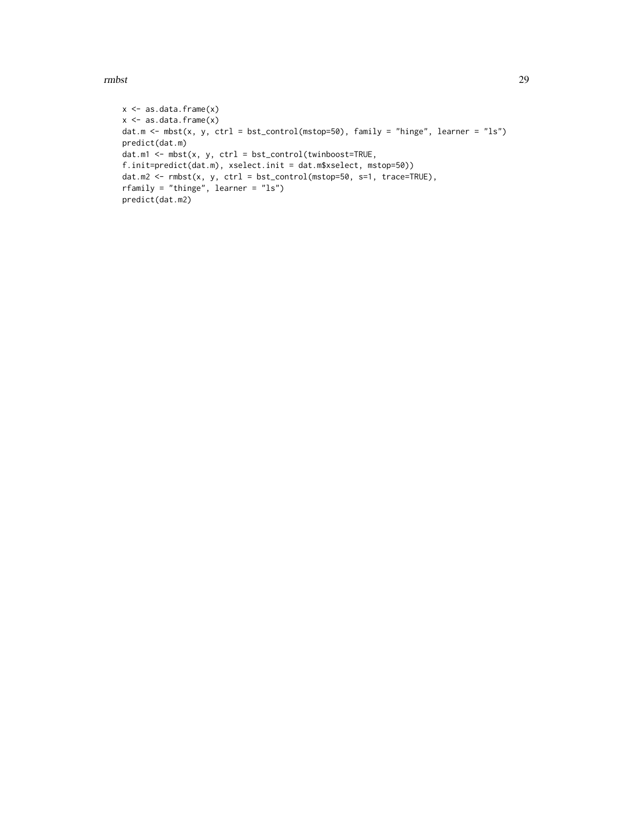rmbst 29

```
x \leftarrow as.data-frame(x)x \leftarrow as.data-frame(x)dat.m <- mbst(x, y, ctrl = bst_control(mstop=50), family = "hinge", learner = "ls")
predict(dat.m)
dat.m1 \leftarrow mbst(x, y, ctr1 = bst_countroll(twinboost=True,f.init=predict(dat.m), xselect.init = dat.m$xselect, mstop=50))
dat.m2 <- rmbst(x, y, ctr1 = bst\_control(mstop=50, s=1, trace=TRUE),
rfamily = "thinge", learner = "ls")
predict(dat.m2)
```